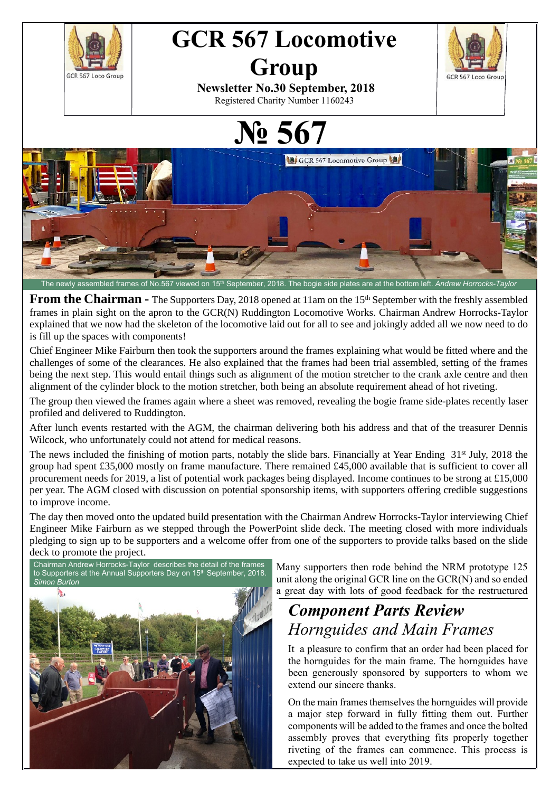

**From the Chairman -** The Supporters Day, 2018 opened at 11am on the 15<sup>th</sup> September with the freshly assembled frames in plain sight on the apron to the GCR(N) Ruddington Locomotive Works. Chairman Andrew Horrocks-Taylor explained that we now had the skeleton of the locomotive laid out for all to see and jokingly added all we now need to do is fill up the spaces with components!

Chief Engineer Mike Fairburn then took the supporters around the frames explaining what would be fitted where and the challenges of some of the clearances. He also explained that the frames had been trial assembled, setting of the frames being the next step. This would entail things such as alignment of the motion stretcher to the crank axle centre and then alignment of the cylinder block to the motion stretcher, both being an absolute requirement ahead of hot riveting.

The group then viewed the frames again where a sheet was removed, revealing the bogie frame side-plates recently laser profiled and delivered to Ruddington.

After lunch events restarted with the AGM, the chairman delivering both his address and that of the treasurer Dennis Wilcock, who unfortunately could not attend for medical reasons.

The news included the finishing of motion parts, notably the slide bars. Financially at Year Ending 31<sup>st</sup> July, 2018 the group had spent £35,000 mostly on frame manufacture. There remained £45,000 available that is sufficient to cover all procurement needs for 2019, a list of potential work packages being displayed. Income continues to be strong at £15,000 per year. The AGM closed with discussion on potential sponsorship items, with supporters offering credible suggestions to improve income.

The day then moved onto the updated build presentation with the Chairman Andrew Horrocks-Taylor interviewing Chief Engineer Mike Fairburn as we stepped through the PowerPoint slide deck. The meeting closed with more individuals pledging to sign up to be supporters and a welcome offer from one of the supporters to provide talks based on the slide deck to promote the project.

Chairman Andrew Horrocks-Taylor describes the detail of the frames to Supporters at the Annual Supporters Day on 15<sup>th</sup> September, 2018. *Simon Burton*



Many supporters then rode behind the NRM prototype 125 unit along the original GCR line on the GCR(N) and so ended a great day with lots of good feedback for the restructured

## *Component Parts Review Hornguides and Main Frames*

It a pleasure to confirm that an order had been placed for the hornguides for the main frame. The hornguides have been generously sponsored by supporters to whom we extend our sincere thanks.

On the main frames themselves the hornguides will provide a major step forward in fully fitting them out. Further components will be added to the frames and once the bolted assembly proves that everything fits properly together riveting of the frames can commence. This process is expected to take us well into 2019.